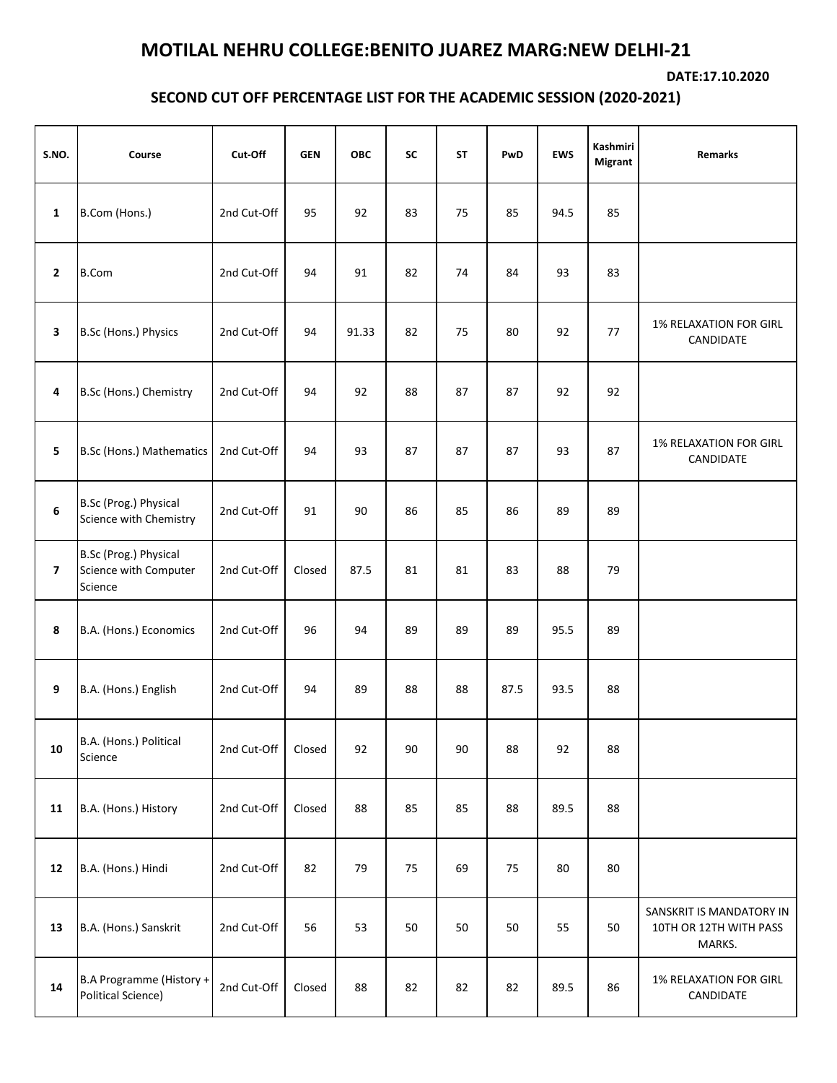## **MOTILAL NEHRU COLLEGE:BENITO JUAREZ MARG:NEW DELHI-21**

**DATE:17.10.2020**

## **SECOND CUT OFF PERCENTAGE LIST FOR THE ACADEMIC SESSION (2020-2021)**

| S.NO.                   | Course                                                    | Cut-Off     | <b>GEN</b> | <b>OBC</b> | <b>SC</b> | <b>ST</b> | PwD  | <b>EWS</b> | Kashmiri<br><b>Migrant</b> | Remarks                                                      |
|-------------------------|-----------------------------------------------------------|-------------|------------|------------|-----------|-----------|------|------------|----------------------------|--------------------------------------------------------------|
| $\mathbf{1}$            | B.Com (Hons.)                                             | 2nd Cut-Off | 95         | 92         | 83        | 75        | 85   | 94.5       | 85                         |                                                              |
| $\mathbf{2}$            | <b>B.Com</b>                                              | 2nd Cut-Off | 94         | 91         | 82        | 74        | 84   | 93         | 83                         |                                                              |
| $\mathbf{3}$            | B.Sc (Hons.) Physics                                      | 2nd Cut-Off | 94         | 91.33      | 82        | 75        | 80   | 92         | 77                         | 1% RELAXATION FOR GIRL<br>CANDIDATE                          |
| 4                       | B.Sc (Hons.) Chemistry                                    | 2nd Cut-Off | 94         | 92         | 88        | 87        | 87   | 92         | 92                         |                                                              |
| 5                       | B.Sc (Hons.) Mathematics                                  | 2nd Cut-Off | 94         | 93         | 87        | 87        | 87   | 93         | 87                         | <b>1% RELAXATION FOR GIRL</b><br>CANDIDATE                   |
| $\boldsymbol{6}$        | B.Sc (Prog.) Physical<br>Science with Chemistry           | 2nd Cut-Off | 91         | 90         | 86        | 85        | 86   | 89         | 89                         |                                                              |
| $\overline{\mathbf{z}}$ | B.Sc (Prog.) Physical<br>Science with Computer<br>Science | 2nd Cut-Off | Closed     | 87.5       | 81        | 81        | 83   | 88         | 79                         |                                                              |
| 8                       | B.A. (Hons.) Economics                                    | 2nd Cut-Off | 96         | 94         | 89        | 89        | 89   | 95.5       | 89                         |                                                              |
| 9                       | B.A. (Hons.) English                                      | 2nd Cut-Off | 94         | 89         | 88        | 88        | 87.5 | 93.5       | 88                         |                                                              |
| 10                      | B.A. (Hons.) Political<br>Science                         | 2nd Cut-Off | Closed     | 92         | 90        | 90        | 88   | 92         | 88                         |                                                              |
| 11                      | B.A. (Hons.) History                                      | 2nd Cut-Off | Closed     | 88         | 85        | 85        | 88   | 89.5       | 88                         |                                                              |
| 12                      | B.A. (Hons.) Hindi                                        | 2nd Cut-Off | 82         | 79         | 75        | 69        | 75   | 80         | 80                         |                                                              |
| 13                      | B.A. (Hons.) Sanskrit                                     | 2nd Cut-Off | 56         | 53         | 50        | 50        | 50   | 55         | 50                         | SANSKRIT IS MANDATORY IN<br>10TH OR 12TH WITH PASS<br>MARKS. |
| 14                      | B.A Programme (History +<br>Political Science)            | 2nd Cut-Off | Closed     | 88         | 82        | 82        | 82   | 89.5       | 86                         | 1% RELAXATION FOR GIRL<br>CANDIDATE                          |